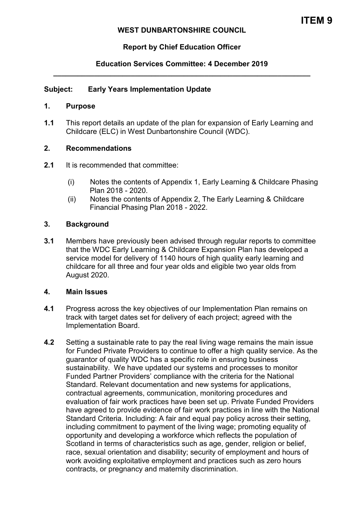## **WEST DUNBARTONSHIRE COUNCIL**

# **Report by Chief Education Officer**

## **Education Services Committee: 4 December 2019 \_\_\_\_\_\_\_\_\_\_\_\_\_\_\_\_\_\_\_\_\_\_\_\_\_\_\_\_\_\_\_\_\_\_\_\_\_\_\_\_\_\_\_\_\_\_\_\_\_\_\_\_\_\_\_\_\_\_\_\_\_\_\_**

#### **Subject: Early Years Implementation Update**

#### **1. Purpose**

**1.1** This report details an update of the plan for expansion of Early Learning and Childcare (ELC) in West Dunbartonshire Council (WDC).

#### **2. Recommendations**

- **2.1** It is recommended that committee:
	- (i) Notes the contents of Appendix 1, Early Learning & Childcare Phasing Plan 2018 - 2020.
	- (ii) Notes the contents of Appendix 2, The Early Learning & Childcare Financial Phasing Plan 2018 - 2022.

## **3. Background**

**3.1** Members have previously been advised through regular reports to committee that the WDC Early Learning & Childcare Expansion Plan has developed a service model for delivery of 1140 hours of high quality early learning and childcare for all three and four year olds and eligible two year olds from August 2020.

#### **4. Main Issues**

- **4.1** Progress across the key objectives of our Implementation Plan remains on track with target dates set for delivery of each project; agreed with the Implementation Board.
- **4.2** Setting a sustainable rate to pay the real living wage remains the main issue for Funded Private Providers to continue to offer a high quality service. As the guarantor of quality WDC has a specific role in ensuring business sustainability. We have updated our systems and processes to monitor Funded Partner Providers' compliance with the criteria for the National Standard. Relevant documentation and new systems for applications, contractual agreements, communication, monitoring procedures and evaluation of fair work practices have been set up. Private Funded Providers have agreed to provide evidence of fair work practices in line with the National Standard Criteria. Including: A fair and equal pay policy across their setting, including commitment to payment of the living wage; promoting equality of opportunity and developing a workforce which reflects the population of Scotland in terms of characteristics such as age, gender, religion or belief, race, sexual orientation and disability; security of employment and hours of work avoiding exploitative employment and practices such as zero hours contracts, or pregnancy and maternity discrimination.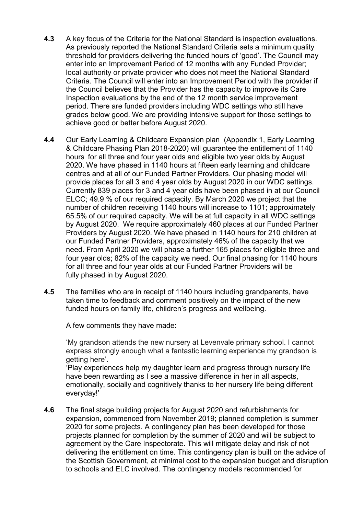- **4.3** A key focus of the Criteria for the National Standard is inspection evaluations. As previously reported the National Standard Criteria sets a minimum quality threshold for providers delivering the funded hours of 'good'. The Council may enter into an Improvement Period of 12 months with any Funded Provider; local authority or private provider who does not meet the National Standard Criteria. The Council will enter into an Improvement Period with the provider if the Council believes that the Provider has the capacity to improve its Care Inspection evaluations by the end of the 12 month service improvement period. There are funded providers including WDC settings who still have grades below good. We are providing intensive support for those settings to achieve good or better before August 2020.
- **4.4** Our Early Learning & Childcare Expansion plan (Appendix 1, Early Learning & Childcare Phasing Plan 2018-2020) will guarantee the entitlement of 1140 hours for all three and four year olds and eligible two year olds by August 2020. We have phased in 1140 hours at fifteen early learning and childcare centres and at all of our Funded Partner Providers. Our phasing model will provide places for all 3 and 4 year olds by August 2020 in our WDC settings. Currently 839 places for 3 and 4 year olds have been phased in at our Council ELCC; 49.9 % of our required capacity. By March 2020 we project that the number of children receiving 1140 hours will increase to 1101; approximately 65.5% of our required capacity. We will be at full capacity in all WDC settings by August 2020. We require approximately 460 places at our Funded Partner Providers by August 2020. We have phased in 1140 hours for 210 children at our Funded Partner Providers, approximately 46% of the capacity that we need. From April 2020 we will phase a further 165 places for eligible three and four year olds; 82% of the capacity we need. Our final phasing for 1140 hours for all three and four year olds at our Funded Partner Providers will be fully phased in by August 2020.
- **4.5** The families who are in receipt of 1140 hours including grandparents, have taken time to feedback and comment positively on the impact of the new funded hours on family life, children's progress and wellbeing.

A few comments they have made:

 'My grandson attends the new nursery at Levenvale primary school. I cannot express strongly enough what a fantastic learning experience my grandson is getting here'.

 'Play experiences help my daughter learn and progress through nursery life have been rewarding as I see a massive difference in her in all aspects, emotionally, socially and cognitively thanks to her nursery life being different everyday!'

**4.6** The final stage building projects for August 2020 and refurbishments for expansion, commenced from November 2019; planned completion is summer 2020 for some projects. A contingency plan has been developed for those projects planned for completion by the summer of 2020 and will be subject to agreement by the Care Inspectorate. This will mitigate delay and risk of not delivering the entitlement on time. This contingency plan is built on the advice of the Scottish Government, at minimal cost to the expansion budget and disruption to schools and ELC involved. The contingency models recommended for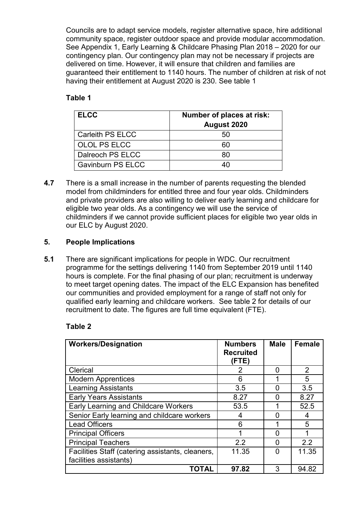Councils are to adapt service models, register alternative space, hire additional community space, register outdoor space and provide modular accommodation. See Appendix 1, Early Learning & Childcare Phasing Plan 2018 – 2020 for our contingency plan. Our contingency plan may not be necessary if projects are delivered on time. However, it will ensure that children and families are guaranteed their entitlement to 1140 hours. The number of children at risk of not having their entitlement at August 2020 is 230. See table 1

# **Table 1**

| <b>ELCC</b>              | Number of places at risk:<br>August 2020 |  |
|--------------------------|------------------------------------------|--|
| Carleith PS ELCC         | 50                                       |  |
| <b>OLOL PS ELCC</b>      | 60                                       |  |
| Dalreoch PS ELCC         | 80                                       |  |
| <b>Gavinburn PS ELCC</b> |                                          |  |

**4.7** There is a small increase in the number of parents requesting the blended model from childminders for entitled three and four year olds. Childminders and private providers are also willing to deliver early learning and childcare for eligible two year olds. As a contingency we will use the service of childminders if we cannot provide sufficient places for eligible two year olds in our ELC by August 2020.

# **5. People Implications**

**5.1** There are significant implications for people in WDC. Our recruitment programme for the settings delivering 1140 from September 2019 until 1140 hours is complete. For the final phasing of our plan; recruitment is underway to meet target opening dates. The impact of the ELC Expansion has benefited our communities and provided employment for a range of staff not only for qualified early learning and childcare workers. See table 2 for details of our recruitment to date. The figures are full time equivalent (FTE).

# **Table 2**

| <b>Workers/Designation</b>                                                 | <b>Numbers</b><br><b>Recruited</b><br>(FTE) | <b>Male</b> | <b>Female</b>  |
|----------------------------------------------------------------------------|---------------------------------------------|-------------|----------------|
| Clerical                                                                   | 2                                           | O           | $\overline{2}$ |
| <b>Modern Apprentices</b>                                                  | 6                                           |             | 5              |
| <b>Learning Assistants</b>                                                 | 3.5                                         | O           | 3.5            |
| <b>Early Years Assistants</b>                                              | 8.27                                        | O           | 8.27           |
| Early Learning and Childcare Workers                                       | 53.5                                        |             | 52.5           |
| Senior Early learning and childcare workers                                | 4                                           | n           | 4              |
| <b>Lead Officers</b>                                                       | 6                                           |             | 5              |
| <b>Principal Officers</b>                                                  | 1                                           | ŋ           |                |
| <b>Principal Teachers</b>                                                  | 2.2                                         | O           | 2.2            |
| Facilities Staff (catering assistants, cleaners,<br>facilities assistants) | 11.35                                       | ∩           | 11.35          |
| TOTAL                                                                      | 97.82                                       | 3           | 94.82          |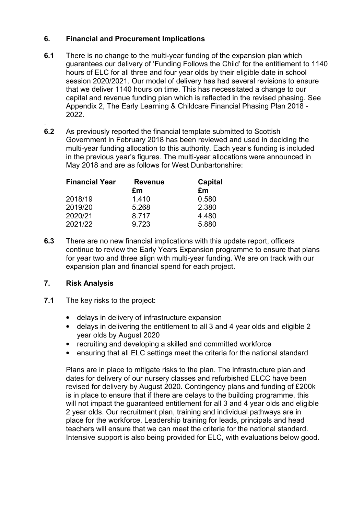# **6. Financial and Procurement Implications**

- **6.1** There is no change to the multi-year funding of the expansion plan which guarantees our delivery of 'Funding Follows the Child' for the entitlement to 1140 hours of ELC for all three and four year olds by their eligible date in school session 2020/2021. Our model of delivery has had several revisions to ensure that we deliver 1140 hours on time. This has necessitated a change to our capital and revenue funding plan which is reflected in the revised phasing. See Appendix 2, The Early Learning & Childcare Financial Phasing Plan 2018 - 2022.
- . **6.2** As previously reported the financial template submitted to Scottish Government in February 2018 has been reviewed and used in deciding the multi-year funding allocation to this authority. Each year's funding is included in the previous year's figures. The multi-year allocations were announced in May 2018 and are as follows for West Dunbartonshire:

| <b>Financial Year</b> | <b>Revenue</b><br>£m | <b>Capital</b><br>£m |
|-----------------------|----------------------|----------------------|
| 2018/19               | 1.410                | 0.580                |
| 2019/20               | 5.268                | 2.380                |
| 2020/21               | 8.717                | 4.480                |
| 2021/22               | 9.723                | 5.880                |

**6.3** There are no new financial implications with this update report, officers continue to review the Early Years Expansion programme to ensure that plans for year two and three align with multi-year funding. We are on track with our expansion plan and financial spend for each project.

# **7. Risk Analysis**

- **7.1** The key risks to the project:
	- delays in delivery of infrastructure expansion
	- delays in delivering the entitlement to all 3 and 4 year olds and eligible 2 year olds by August 2020
	- recruiting and developing a skilled and committed workforce
	- ensuring that all ELC settings meet the criteria for the national standard

Plans are in place to mitigate risks to the plan. The infrastructure plan and dates for delivery of our nursery classes and refurbished ELCC have been revised for delivery by August 2020. Contingency plans and funding of £200k is in place to ensure that if there are delays to the building programme, this will not impact the guaranteed entitlement for all 3 and 4 year olds and eligible 2 year olds. Our recruitment plan, training and individual pathways are in place for the workforce. Leadership training for leads, principals and head teachers will ensure that we can meet the criteria for the national standard. Intensive support is also being provided for ELC, with evaluations below good.